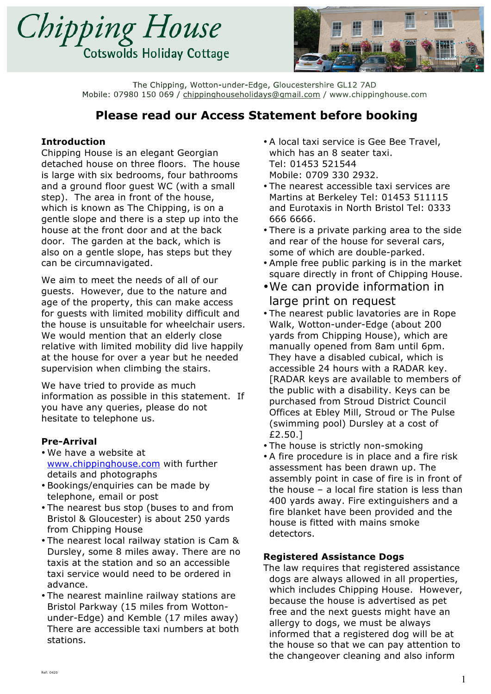



# **Please read our Access Statement before booking**

### **Introduction**

Chipping House is an elegant Georgian detached house on three floors. The house is large with six bedrooms, four bathrooms and a ground floor guest WC (with a small step). The area in front of the house, which is known as The Chipping, is on a gentle slope and there is a step up into the house at the front door and at the back door. The garden at the back, which is also on a gentle slope, has steps but they can be circumnavigated.

We aim to meet the needs of all of our guests. However, due to the nature and age of the property, this can make access for guests with limited mobility difficult and the house is unsuitable for wheelchair users. We would mention that an elderly close relative with limited mobility did live happily at the house for over a year but he needed supervision when climbing the stairs.

We have tried to provide as much information as possible in this statement. If you have any queries, please do not hesitate to telephone us.

#### **Pre-Arrival**

- We have a website at www.chippinghouse.com with further details and photographs
- Bookings/enquiries can be made by telephone, email or post
- The nearest bus stop (buses to and from Bristol & Gloucester) is about 250 yards from Chipping House
- The nearest local railway station is Cam & Dursley, some 8 miles away. There are no taxis at the station and so an accessible taxi service would need to be ordered in advance.
- The nearest mainline railway stations are Bristol Parkway (15 miles from Wottonunder-Edge) and Kemble (17 miles away) There are accessible taxi numbers at both stations.
- A local taxi service is Gee Bee Travel, which has an 8 seater taxi. Tel: 01453 521544 Mobile: 0709 330 2932.
- The nearest accessible taxi services are Martins at Berkeley Tel: 01453 511115 and Eurotaxis in North Bristol Tel: 0333 666 6666.
- There is a private parking area to the side and rear of the house for several cars, some of which are double-parked.
- Ample free public parking is in the market square directly in front of Chipping House.
- •We can provide information in large print on request
- The nearest public lavatories are in Rope Walk, Wotton-under-Edge (about 200 yards from Chipping House), which are manually opened from 8am until 6pm. They have a disabled cubical, which is accessible 24 hours with a RADAR key. [RADAR keys are available to members of the public with a disability. Keys can be purchased from Stroud District Council Offices at Ebley Mill, Stroud or The Pulse (swimming pool) Dursley at a cost of £2.50.]
- The house is strictly non-smoking
- A fire procedure is in place and a fire risk assessment has been drawn up. The assembly point in case of fire is in front of the house – a local fire station is less than 400 yards away. Fire extinguishers and a fire blanket have been provided and the house is fitted with mains smoke detectors.

### **Registered Assistance Dogs**

The law requires that registered assistance dogs are always allowed in all properties, which includes Chipping House. However, because the house is advertised as pet free and the next guests might have an allergy to dogs, we must be always informed that a registered dog will be at the house so that we can pay attention to the changeover cleaning and also inform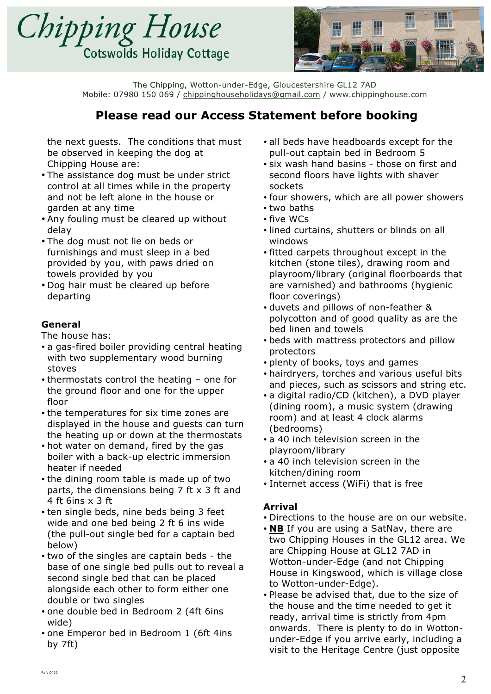



# **Please read our Access Statement before booking**

the next guests. The conditions that must be observed in keeping the dog at Chipping House are:

- The assistance dog must be under strict control at all times while in the property and not be left alone in the house or garden at any time
- Any fouling must be cleared up without delay
- The dog must not lie on beds or furnishings and must sleep in a bed provided by you, with paws dried on towels provided by you
- Dog hair must be cleared up before departing

## **General**

The house has:

- a gas-fired boiler providing central heating with two supplementary wood burning stoves
- thermostats control the heating one for the ground floor and one for the upper floor
- the temperatures for six time zones are displayed in the house and guests can turn the heating up or down at the thermostats
- hot water on demand, fired by the gas boiler with a back-up electric immersion heater if needed
- the dining room table is made up of two parts, the dimensions being 7 ft x 3 ft and 4 ft 6ins x 3 ft
- ten single beds, nine beds being 3 feet wide and one bed being 2 ft 6 ins wide (the pull-out single bed for a captain bed below)
- two of the singles are captain beds the base of one single bed pulls out to reveal a second single bed that can be placed alongside each other to form either one double or two singles
- one double bed in Bedroom 2 (4ft 6ins wide)
- one Emperor bed in Bedroom 1 (6ft 4ins by 7ft)
- all beds have headboards except for the pull-out captain bed in Bedroom 5
- six wash hand basins those on first and second floors have lights with shaver sockets
- four showers, which are all power showers
- two baths
- five WCs
- lined curtains, shutters or blinds on all windows
- fitted carpets throughout except in the kitchen (stone tiles), drawing room and playroom/library (original floorboards that are varnished) and bathrooms (hygienic floor coverings)
- duvets and pillows of non-feather & polycotton and of good quality as are the bed linen and towels
- beds with mattress protectors and pillow protectors
- plenty of books, toys and games
- hairdryers, torches and various useful bits and pieces, such as scissors and string etc.
- a digital radio/CD (kitchen), a DVD player (dining room), a music system (drawing room) and at least 4 clock alarms (bedrooms)
- a 40 inch television screen in the playroom/library
- a 40 inch television screen in the kitchen/dining room
- Internet access (WiFi) that is free

## **Arrival**

- Directions to the house are on our website.
- **NB** If you are using a SatNav, there are two Chipping Houses in the GL12 area. We are Chipping House at GL12 7AD in Wotton-under-Edge (and not Chipping House in Kingswood, which is village close to Wotton-under-Edge).
- Please be advised that, due to the size of the house and the time needed to get it ready, arrival time is strictly from 4pm onwards. There is plenty to do in Wottonunder-Edge if you arrive early, including a visit to the Heritage Centre (just opposite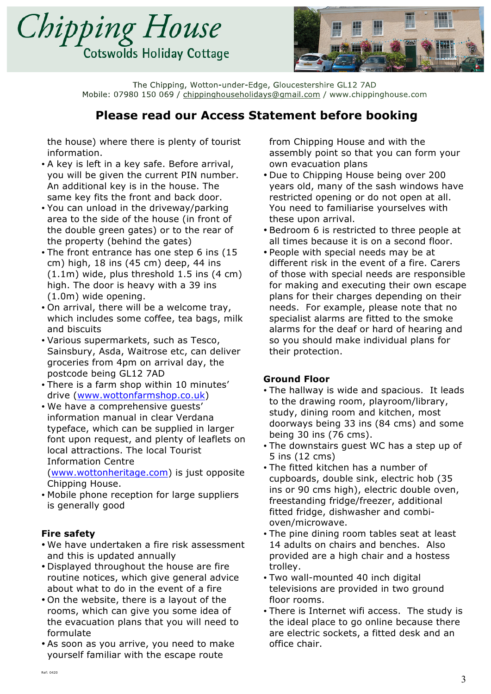



## **Please read our Access Statement before booking**

the house) where there is plenty of tourist information.

- A key is left in a key safe. Before arrival, you will be given the current PIN number. An additional key is in the house. The same key fits the front and back door.
- You can unload in the driveway/parking area to the side of the house (in front of the double green gates) or to the rear of the property (behind the gates)
- The front entrance has one step 6 ins (15 cm) high, 18 ins (45 cm) deep, 44 ins (1.1m) wide, plus threshold 1.5 ins (4 cm) high. The door is heavy with a 39 ins (1.0m) wide opening.
- On arrival, there will be a welcome tray, which includes some coffee, tea bags, milk and biscuits
- Various supermarkets, such as Tesco, Sainsbury, Asda, Waitrose etc, can deliver groceries from 4pm on arrival day, the postcode being GL12 7AD
- There is a farm shop within 10 minutes' drive (www.wottonfarmshop.co.uk)
- We have a comprehensive guests' information manual in clear Verdana typeface, which can be supplied in larger font upon request, and plenty of leaflets on local attractions. The local Tourist Information Centre (www.wottonheritage.com) is just opposite

Chipping House.

• Mobile phone reception for large suppliers is generally good

## **Fire safety**

- We have undertaken a fire risk assessment and this is updated annually
- Displayed throughout the house are fire routine notices, which give general advice about what to do in the event of a fire
- On the website, there is a layout of the rooms, which can give you some idea of the evacuation plans that you will need to formulate
- As soon as you arrive, you need to make yourself familiar with the escape route

from Chipping House and with the assembly point so that you can form your own evacuation plans

- Due to Chipping House being over 200 years old, many of the sash windows have restricted opening or do not open at all. You need to familiarise yourselves with these upon arrival.
- Bedroom 6 is restricted to three people at all times because it is on a second floor.
- People with special needs may be at different risk in the event of a fire. Carers of those with special needs are responsible for making and executing their own escape plans for their charges depending on their needs. For example, please note that no specialist alarms are fitted to the smoke alarms for the deaf or hard of hearing and so you should make individual plans for their protection.

### **Ground Floor**

- The hallway is wide and spacious. It leads to the drawing room, playroom/library, study, dining room and kitchen, most doorways being 33 ins (84 cms) and some being 30 ins (76 cms).
- The downstairs guest WC has a step up of 5 ins (12 cms)
- The fitted kitchen has a number of cupboards, double sink, electric hob (35 ins or 90 cms high), electric double oven, freestanding fridge/freezer, additional fitted fridge, dishwasher and combioven/microwave.
- The pine dining room tables seat at least 14 adults on chairs and benches. Also provided are a high chair and a hostess trolley.
- Two wall-mounted 40 inch digital televisions are provided in two ground floor rooms.
- There is Internet wifi access. The study is the ideal place to go online because there are electric sockets, a fitted desk and an office chair.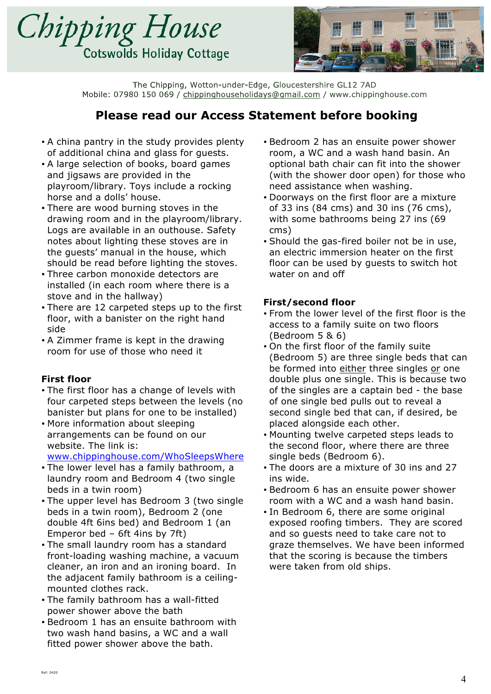



# **Please read our Access Statement before booking**

- A china pantry in the study provides plenty of additional china and glass for guests.
- A large selection of books, board games and jigsaws are provided in the playroom/library. Toys include a rocking horse and a dolls' house.
- There are wood burning stoves in the drawing room and in the playroom/library. Logs are available in an outhouse. Safety notes about lighting these stoves are in the guests' manual in the house, which should be read before lighting the stoves.
- Three carbon monoxide detectors are installed (in each room where there is a stove and in the hallway)
- There are 12 carpeted steps up to the first floor, with a banister on the right hand side
- A Zimmer frame is kept in the drawing room for use of those who need it

## **First floor**

- The first floor has a change of levels with four carpeted steps between the levels (no banister but plans for one to be installed)
- More information about sleeping arrangements can be found on our website. The link is: www.chippinghouse.com/WhoSleepsWhere
- The lower level has a family bathroom, a laundry room and Bedroom 4 (two single beds in a twin room)
- The upper level has Bedroom 3 (two single beds in a twin room), Bedroom 2 (one double 4ft 6ins bed) and Bedroom 1 (an Emperor bed – 6ft 4ins by 7ft)
- The small laundry room has a standard front-loading washing machine, a vacuum cleaner, an iron and an ironing board. In the adjacent family bathroom is a ceilingmounted clothes rack.
- The family bathroom has a wall-fitted power shower above the bath
- Bedroom 1 has an ensuite bathroom with two wash hand basins, a WC and a wall fitted power shower above the bath.
- Bedroom 2 has an ensuite power shower room, a WC and a wash hand basin. An optional bath chair can fit into the shower (with the shower door open) for those who need assistance when washing.
- Doorways on the first floor are a mixture of 33 ins (84 cms) and 30 ins (76 cms), with some bathrooms being 27 ins (69 cms)
- Should the gas-fired boiler not be in use, an electric immersion heater on the first floor can be used by guests to switch hot water on and off

### **First/second floor**

- From the lower level of the first floor is the access to a family suite on two floors (Bedroom 5 & 6)
- On the first floor of the family suite (Bedroom 5) are three single beds that can be formed into either three singles or one double plus one single. This is because two of the singles are a captain bed - the base of one single bed pulls out to reveal a second single bed that can, if desired, be placed alongside each other.
- Mounting twelve carpeted steps leads to the second floor, where there are three single beds (Bedroom 6).
- The doors are a mixture of 30 ins and 27 ins wide.
- Bedroom 6 has an ensuite power shower room with a WC and a wash hand basin.
- In Bedroom 6, there are some original exposed roofing timbers. They are scored and so guests need to take care not to graze themselves. We have been informed that the scoring is because the timbers were taken from old ships.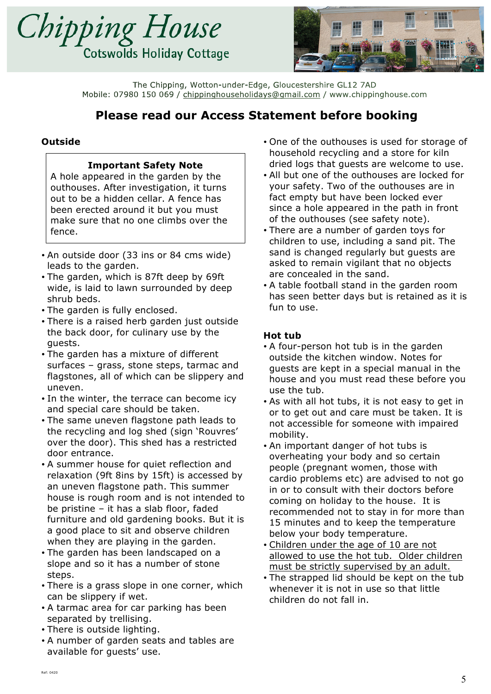![](_page_4_Picture_0.jpeg)

![](_page_4_Picture_1.jpeg)

# **Please read our Access Statement before booking**

## **Outside**

### **Important Safety Note**

A hole appeared in the garden by the outhouses. After investigation, it turns out to be a hidden cellar. A fence has been erected around it but you must make sure that no one climbs over the fence.

- An outside door (33 ins or 84 cms wide) leads to the garden.
- The garden, which is 87ft deep by 69ft wide, is laid to lawn surrounded by deep shrub beds.
- The garden is fully enclosed.
- There is a raised herb garden just outside the back door, for culinary use by the guests.
- The garden has a mixture of different surfaces – grass, stone steps, tarmac and flagstones, all of which can be slippery and uneven.
- In the winter, the terrace can become icy and special care should be taken.
- The same uneven flagstone path leads to the recycling and log shed (sign 'Rouvres' over the door). This shed has a restricted door entrance.
- A summer house for quiet reflection and relaxation (9ft 8ins by 15ft) is accessed by an uneven flagstone path. This summer house is rough room and is not intended to be pristine – it has a slab floor, faded furniture and old gardening books. But it is a good place to sit and observe children when they are playing in the garden.
- The garden has been landscaped on a slope and so it has a number of stone steps.
- There is a grass slope in one corner, which can be slippery if wet.
- A tarmac area for car parking has been separated by trellising.
- There is outside lighting.
- A number of garden seats and tables are available for guests' use.
- One of the outhouses is used for storage of household recycling and a store for kiln dried logs that guests are welcome to use.
- All but one of the outhouses are locked for your safety. Two of the outhouses are in fact empty but have been locked ever since a hole appeared in the path in front of the outhouses (see safety note).
- There are a number of garden toys for children to use, including a sand pit. The sand is changed regularly but guests are asked to remain vigilant that no objects are concealed in the sand.
- A table football stand in the garden room has seen better days but is retained as it is fun to use.

### **Hot tub**

- A four-person hot tub is in the garden outside the kitchen window. Notes for guests are kept in a special manual in the house and you must read these before you use the tub.
- As with all hot tubs, it is not easy to get in or to get out and care must be taken. It is not accessible for someone with impaired mobility.
- An important danger of hot tubs is overheating your body and so certain people (pregnant women, those with cardio problems etc) are advised to not go in or to consult with their doctors before coming on holiday to the house. It is recommended not to stay in for more than 15 minutes and to keep the temperature below your body temperature.
- Children under the age of 10 are not allowed to use the hot tub. Older children must be strictly supervised by an adult.
- The strapped lid should be kept on the tub whenever it is not in use so that little children do not fall in.